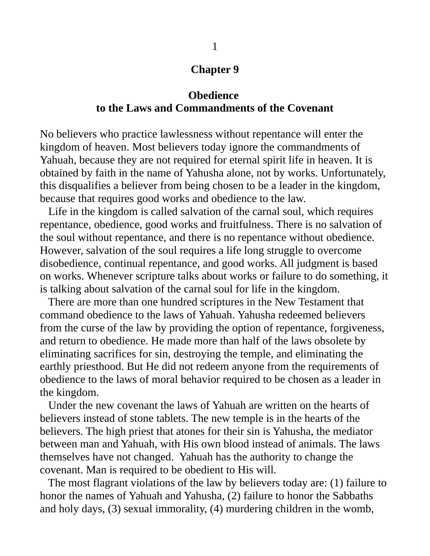### **Chapter 9**

## **Obedience to the Laws and Commandments of the Covenant**

No believers who practice lawlessness without repentance will enter the kingdom of heaven. Most believers today ignore the commandments of Yahuah, because they are not required for eternal spirit life in heaven. It is obtained by faith in the name of Yahusha alone, not by works. Unfortunately, this disqualifies a believer from being chosen to be a leader in the kingdom, because that requires good works and obedience to the law.

 Life in the kingdom is called salvation of the carnal soul, which requires repentance, obedience, good works and fruitfulness. There is no salvation of the soul without repentance, and there is no repentance without obedience. However, salvation of the soul requires a life long struggle to overcome disobedience, continual repentance, and good works. All judgment is based on works. Whenever scripture talks about works or failure to do something, it is talking about salvation of the carnal soul for life in the kingdom.

 There are more than one hundred scriptures in the New Testament that command obedience to the laws of Yahuah. Yahusha redeemed believers from the curse of the law by providing the option of repentance, forgiveness, and return to obedience. He made more than half of the laws obsolete by eliminating sacrifices for sin, destroying the temple, and eliminating the earthly priesthood. But He did not redeem anyone from the requirements of obedience to the laws of moral behavior required to be chosen as a leader in the kingdom.

 Under the new covenant the laws of Yahuah are written on the hearts of believers instead of stone tablets. The new temple is in the hearts of the believers. The high priest that atones for their sin is Yahusha, the mediator between man and Yahuah, with His own blood instead of animals. The laws themselves have not changed. Yahuah has the authority to change the covenant. Man is required to be obedient to His will.

 The most flagrant violations of the law by believers today are: (1) failure to honor the names of Yahuah and Yahusha, (2) failure to honor the Sabbaths and holy days, (3) sexual immorality, (4) murdering children in the womb,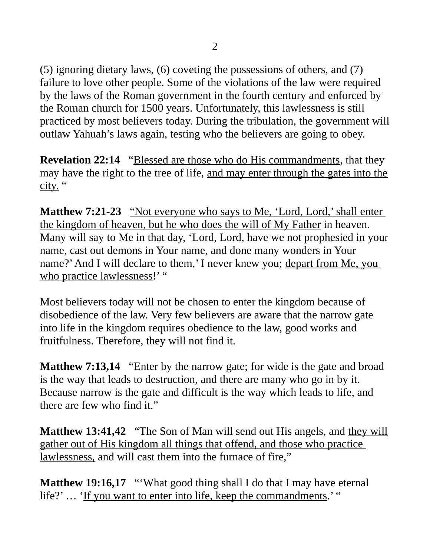(5) ignoring dietary laws, (6) coveting the possessions of others, and (7) failure to love other people. Some of the violations of the law were required by the laws of the Roman government in the fourth century and enforced by the Roman church for 1500 years. Unfortunately, this lawlessness is still practiced by most believers today. During the tribulation, the government will outlaw Yahuah's laws again, testing who the believers are going to obey.

**Revelation 22:14** "Blessed are those who do His commandments, that they may have the right to the tree of life, and may enter through the gates into the city. "

**Matthew 7:21-23** "Not everyone who says to Me, 'Lord, Lord,' shall enter the kingdom of heaven, but he who does the will of My Father in heaven. Many will say to Me in that day, 'Lord, Lord, have we not prophesied in your name, cast out demons in Your name, and done many wonders in Your name?' And I will declare to them,' I never knew you; depart from Me, you who practice lawlessness!' "

Most believers today will not be chosen to enter the kingdom because of disobedience of the law. Very few believers are aware that the narrow gate into life in the kingdom requires obedience to the law, good works and fruitfulness. Therefore, they will not find it.

**Matthew 7:13,14** "Enter by the narrow gate; for wide is the gate and broad is the way that leads to destruction, and there are many who go in by it. Because narrow is the gate and difficult is the way which leads to life, and there are few who find it."

**Matthew 13:41,42** "The Son of Man will send out His angels, and they will gather out of His kingdom all things that offend, and those who practice lawlessness, and will cast them into the furnace of fire,"

**Matthew 19:16,17** "'What good thing shall I do that I may have eternal life?' ... 'If you want to enter into life, keep the commandments.' "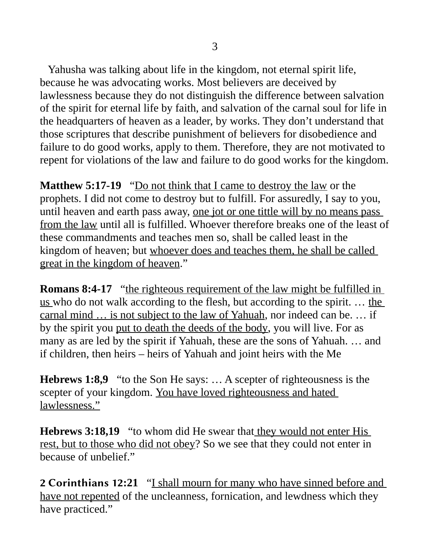Yahusha was talking about life in the kingdom, not eternal spirit life, because he was advocating works. Most believers are deceived by lawlessness because they do not distinguish the difference between salvation of the spirit for eternal life by faith, and salvation of the carnal soul for life in the headquarters of heaven as a leader, by works. They don't understand that those scriptures that describe punishment of believers for disobedience and failure to do good works, apply to them. Therefore, they are not motivated to repent for violations of the law and failure to do good works for the kingdom.

**Matthew 5:17-19** "Do not think that I came to destroy the law or the prophets. I did not come to destroy but to fulfill. For assuredly, I say to you, until heaven and earth pass away, one jot or one tittle will by no means pass from the law until all is fulfilled. Whoever therefore breaks one of the least of these commandments and teaches men so, shall be called least in the kingdom of heaven; but whoever does and teaches them, he shall be called great in the kingdom of heaven."

**Romans 8:4-17** "the righteous requirement of the law might be fulfilled in us who do not walk according to the flesh, but according to the spirit. ... the carnal mind … is not subject to the law of Yahuah, nor indeed can be. … if by the spirit you put to death the deeds of the body, you will live. For as many as are led by the spirit if Yahuah, these are the sons of Yahuah. … and if children, then heirs – heirs of Yahuah and joint heirs with the Me

**Hebrews 1:8,9** "to the Son He says: … A scepter of righteousness is the scepter of your kingdom. You have loved righteousness and hated lawlessness."

**Hebrews 3:18,19** "to whom did He swear that they would not enter His rest, but to those who did not obey? So we see that they could not enter in because of unbelief."

2 Corinthians 12**:21** "I shall mourn for many who have sinned before and have not repented of the uncleanness, fornication, and lewdness which they have practiced."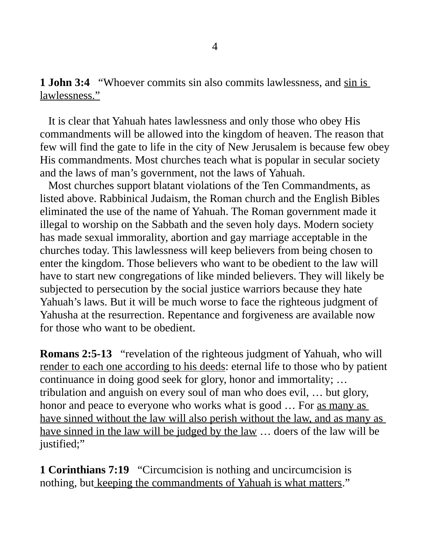**1 John 3:4** "Whoever commits sin also commits lawlessness, and sin is lawlessness."

 It is clear that Yahuah hates lawlessness and only those who obey His commandments will be allowed into the kingdom of heaven. The reason that few will find the gate to life in the city of New Jerusalem is because few obey His commandments. Most churches teach what is popular in secular society and the laws of man's government, not the laws of Yahuah.

 Most churches support blatant violations of the Ten Commandments, as listed above. Rabbinical Judaism, the Roman church and the English Bibles eliminated the use of the name of Yahuah. The Roman government made it illegal to worship on the Sabbath and the seven holy days. Modern society has made sexual immorality, abortion and gay marriage acceptable in the churches today. This lawlessness will keep believers from being chosen to enter the kingdom. Those believers who want to be obedient to the law will have to start new congregations of like minded believers. They will likely be subjected to persecution by the social justice warriors because they hate Yahuah's laws. But it will be much worse to face the righteous judgment of Yahusha at the resurrection. Repentance and forgiveness are available now for those who want to be obedient.

**Romans 2:5-13** "revelation of the righteous judgment of Yahuah, who will render to each one according to his deeds: eternal life to those who by patient continuance in doing good seek for glory, honor and immortality; … tribulation and anguish on every soul of man who does evil, … but glory, honor and peace to everyone who works what is good ... For as many as have sinned without the law will also perish without the law, and as many as have sinned in the law will be judged by the law ... doers of the law will be justified;"

**1 Corinthians 7:19** "Circumcision is nothing and uncircumcision is nothing, but keeping the commandments of Yahuah is what matters."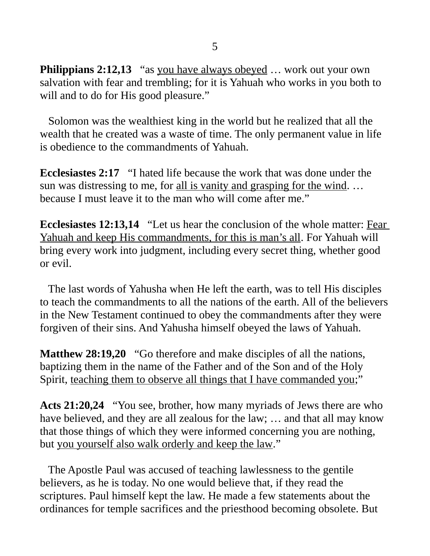**Philippians 2:12,13** "as you have always obeyed ... work out your own salvation with fear and trembling; for it is Yahuah who works in you both to will and to do for His good pleasure."

 Solomon was the wealthiest king in the world but he realized that all the wealth that he created was a waste of time. The only permanent value in life is obedience to the commandments of Yahuah.

**Ecclesiastes 2:17** "I hated life because the work that was done under the sun was distressing to me, for all is vanity and grasping for the wind. … because I must leave it to the man who will come after me."

**Ecclesiastes 12:13,14** "Let us hear the conclusion of the whole matter: Fear Yahuah and keep His commandments, for this is man's all. For Yahuah will bring every work into judgment, including every secret thing, whether good or evil.

 The last words of Yahusha when He left the earth, was to tell His disciples to teach the commandments to all the nations of the earth. All of the believers in the New Testament continued to obey the commandments after they were forgiven of their sins. And Yahusha himself obeyed the laws of Yahuah.

**Matthew 28:19,20** "Go therefore and make disciples of all the nations, baptizing them in the name of the Father and of the Son and of the Holy Spirit, teaching them to observe all things that I have commanded you;"

**Acts 21:20,24** "You see, brother, how many myriads of Jews there are who have believed, and they are all zealous for the law; ... and that all may know that those things of which they were informed concerning you are nothing, but you yourself also walk orderly and keep the law."

 The Apostle Paul was accused of teaching lawlessness to the gentile believers, as he is today. No one would believe that, if they read the scriptures. Paul himself kept the law. He made a few statements about the ordinances for temple sacrifices and the priesthood becoming obsolete. But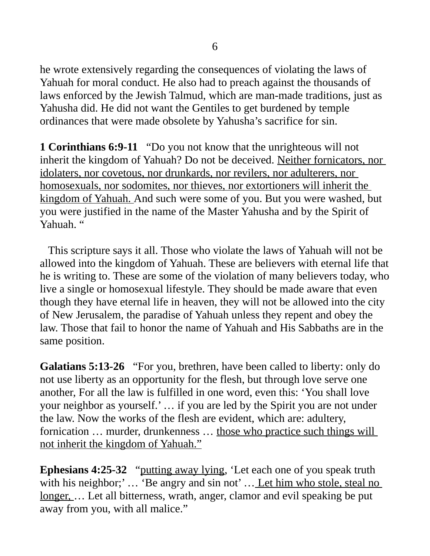he wrote extensively regarding the consequences of violating the laws of Yahuah for moral conduct. He also had to preach against the thousands of laws enforced by the Jewish Talmud, which are man-made traditions, just as Yahusha did. He did not want the Gentiles to get burdened by temple ordinances that were made obsolete by Yahusha's sacrifice for sin.

**1 Corinthians 6:9-11** "Do you not know that the unrighteous will not inherit the kingdom of Yahuah? Do not be deceived. Neither fornicators, nor idolaters, nor covetous, nor drunkards, nor revilers, nor adulterers, nor homosexuals, nor sodomites, nor thieves, nor extortioners will inherit the kingdom of Yahuah. And such were some of you. But you were washed, but you were justified in the name of the Master Yahusha and by the Spirit of Yahuah. "

 This scripture says it all. Those who violate the laws of Yahuah will not be allowed into the kingdom of Yahuah. These are believers with eternal life that he is writing to. These are some of the violation of many believers today, who live a single or homosexual lifestyle. They should be made aware that even though they have eternal life in heaven, they will not be allowed into the city of New Jerusalem, the paradise of Yahuah unless they repent and obey the law. Those that fail to honor the name of Yahuah and His Sabbaths are in the same position.

**Galatians 5:13-26** "For you, brethren, have been called to liberty: only do not use liberty as an opportunity for the flesh, but through love serve one another, For all the law is fulfilled in one word, even this: 'You shall love your neighbor as yourself.' … if you are led by the Spirit you are not under the law. Now the works of the flesh are evident, which are: adultery, fornication ... murder, drunkenness ... those who practice such things will not inherit the kingdom of Yahuah."

**Ephesians 4:25-32** "putting away lying, 'Let each one of you speak truth with his neighbor;'... 'Be angry and sin not'... Let him who stole, steal no longer, … Let all bitterness, wrath, anger, clamor and evil speaking be put away from you, with all malice."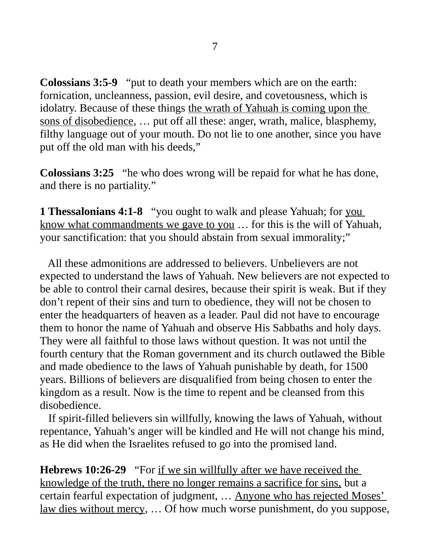**Colossians 3:5-9** "put to death your members which are on the earth: fornication, uncleanness, passion, evil desire, and covetousness, which is idolatry. Because of these things the wrath of Yahuah is coming upon the sons of disobedience, … put off all these: anger, wrath, malice, blasphemy, filthy language out of your mouth. Do not lie to one another, since you have put off the old man with his deeds,"

**Colossians 3:25** "he who does wrong will be repaid for what he has done, and there is no partiality."

**1 Thessalonians 4:1-8** "you ought to walk and please Yahuah; for you know what commandments we gave to you … for this is the will of Yahuah, your sanctification: that you should abstain from sexual immorality;"

 All these admonitions are addressed to believers. Unbelievers are not expected to understand the laws of Yahuah. New believers are not expected to be able to control their carnal desires, because their spirit is weak. But if they don't repent of their sins and turn to obedience, they will not be chosen to enter the headquarters of heaven as a leader. Paul did not have to encourage them to honor the name of Yahuah and observe His Sabbaths and holy days. They were all faithful to those laws without question. It was not until the fourth century that the Roman government and its church outlawed the Bible and made obedience to the laws of Yahuah punishable by death, for 1500 years. Billions of believers are disqualified from being chosen to enter the kingdom as a result. Now is the time to repent and be cleansed from this disobedience.

 If spirit-filled believers sin willfully, knowing the laws of Yahuah, without repentance, Yahuah's anger will be kindled and He will not change his mind, as He did when the Israelites refused to go into the promised land.

**Hebrews 10:26-29** "For if we sin willfully after we have received the knowledge of the truth, there no longer remains a sacrifice for sins, but a certain fearful expectation of judgment, … Anyone who has rejected Moses' law dies without mercy, … Of how much worse punishment, do you suppose,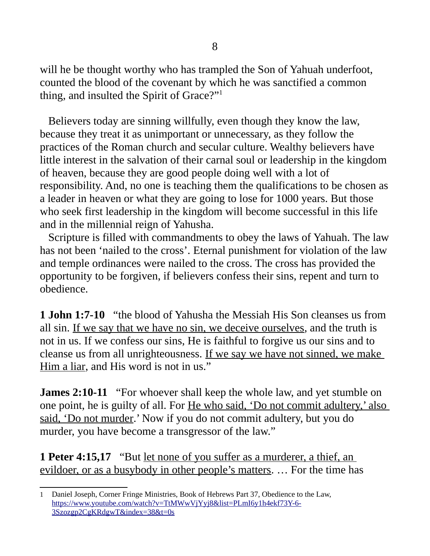will he be thought worthy who has trampled the Son of Yahuah underfoot, counted the blood of the covenant by which he was sanctified a common thing, and insulted the Spirit of Grace?"[1](#page-7-0)

 Believers today are sinning willfully, even though they know the law, because they treat it as unimportant or unnecessary, as they follow the practices of the Roman church and secular culture. Wealthy believers have little interest in the salvation of their carnal soul or leadership in the kingdom of heaven, because they are good people doing well with a lot of responsibility. And, no one is teaching them the qualifications to be chosen as a leader in heaven or what they are going to lose for 1000 years. But those who seek first leadership in the kingdom will become successful in this life and in the millennial reign of Yahusha.

 Scripture is filled with commandments to obey the laws of Yahuah. The law has not been 'nailed to the cross'. Eternal punishment for violation of the law and temple ordinances were nailed to the cross. The cross has provided the opportunity to be forgiven, if believers confess their sins, repent and turn to obedience.

**1 John 1:7-10** "the blood of Yahusha the Messiah His Son cleanses us from all sin. If we say that we have no sin, we deceive ourselves, and the truth is not in us. If we confess our sins, He is faithful to forgive us our sins and to cleanse us from all unrighteousness. If we say we have not sinned, we make Him a liar, and His word is not in us."

**James 2:10-11** "For whoever shall keep the whole law, and yet stumble on one point, he is guilty of all. For He who said, 'Do not commit adultery,' also said, 'Do not murder.' Now if you do not commit adultery, but you do murder, you have become a transgressor of the law."

**1 Peter 4:15,17** "But let none of you suffer as a murderer, a thief, an evildoer, or as a busybody in other people's matters. … For the time has

<span id="page-7-0"></span><sup>1</sup> Daniel Joseph, Corner Fringe Ministries, Book of Hebrews Part 37, Obedience to the Law, [https://www.youtube.com/watch?v=TtMWwVjYyj8&list=PLmI6y1h4ekf73Y-6-](https://www.youtube.com/watch?v=TtMWwVjYyj8&list=PLmI6y1h4ekf73Y-6-3Szozgp2CgKRdgwT&index=38&t=0s) [3Szozgp2CgKRdgwT&index=38&t=0s](https://www.youtube.com/watch?v=TtMWwVjYyj8&list=PLmI6y1h4ekf73Y-6-3Szozgp2CgKRdgwT&index=38&t=0s)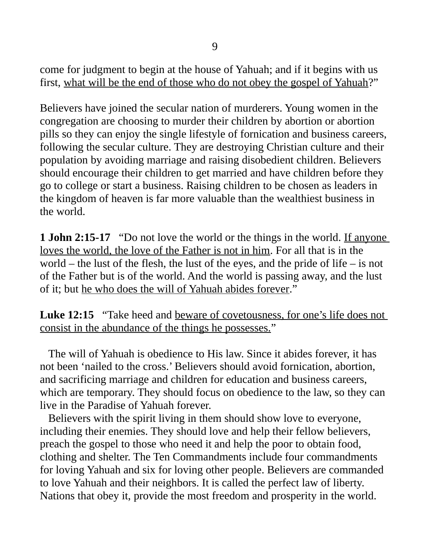come for judgment to begin at the house of Yahuah; and if it begins with us first, what will be the end of those who do not obey the gospel of Yahuah?"

Believers have joined the secular nation of murderers. Young women in the congregation are choosing to murder their children by abortion or abortion pills so they can enjoy the single lifestyle of fornication and business careers, following the secular culture. They are destroying Christian culture and their population by avoiding marriage and raising disobedient children. Believers should encourage their children to get married and have children before they go to college or start a business. Raising children to be chosen as leaders in the kingdom of heaven is far more valuable than the wealthiest business in the world.

**1 John 2:15-17** "Do not love the world or the things in the world. If anyone loves the world, the love of the Father is not in him. For all that is in the world – the lust of the flesh, the lust of the eyes, and the pride of life – is not of the Father but is of the world. And the world is passing away, and the lust of it; but he who does the will of Yahuah abides forever."

Luke 12:15 "Take heed and beware of covetousness, for one's life does not consist in the abundance of the things he possesses."

 The will of Yahuah is obedience to His law. Since it abides forever, it has not been 'nailed to the cross.' Believers should avoid fornication, abortion, and sacrificing marriage and children for education and business careers, which are temporary. They should focus on obedience to the law, so they can live in the Paradise of Yahuah forever.

 Believers with the spirit living in them should show love to everyone, including their enemies. They should love and help their fellow believers, preach the gospel to those who need it and help the poor to obtain food, clothing and shelter. The Ten Commandments include four commandments for loving Yahuah and six for loving other people. Believers are commanded to love Yahuah and their neighbors. It is called the perfect law of liberty. Nations that obey it, provide the most freedom and prosperity in the world.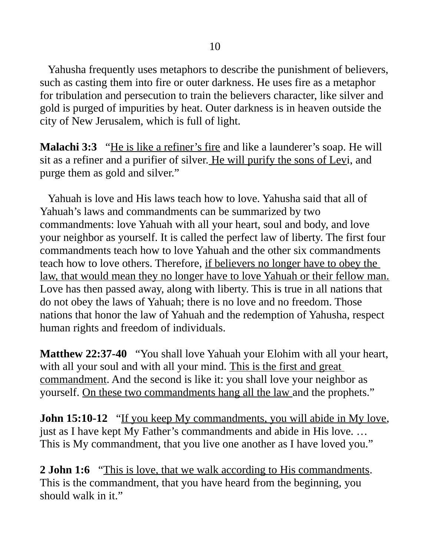Yahusha frequently uses metaphors to describe the punishment of believers, such as casting them into fire or outer darkness. He uses fire as a metaphor for tribulation and persecution to train the believers character, like silver and gold is purged of impurities by heat. Outer darkness is in heaven outside the city of New Jerusalem, which is full of light.

**Malachi 3:3** "He is like a refiner's fire and like a launderer's soap. He will sit as a refiner and a purifier of silver. He will purify the sons of Levi, and purge them as gold and silver."

 Yahuah is love and His laws teach how to love. Yahusha said that all of Yahuah's laws and commandments can be summarized by two commandments: love Yahuah with all your heart, soul and body, and love your neighbor as yourself. It is called the perfect law of liberty. The first four commandments teach how to love Yahuah and the other six commandments teach how to love others. Therefore, if believers no longer have to obey the law, that would mean they no longer have to love Yahuah or their fellow man. Love has then passed away, along with liberty. This is true in all nations that do not obey the laws of Yahuah; there is no love and no freedom. Those nations that honor the law of Yahuah and the redemption of Yahusha, respect human rights and freedom of individuals.

**Matthew 22:37-40** "You shall love Yahuah your Elohim with all your heart, with all your soul and with all your mind. This is the first and great commandment. And the second is like it: you shall love your neighbor as yourself. On these two commandments hang all the law and the prophets."

**John 15:10-12** "If you keep My commandments, you will abide in My love, just as I have kept My Father's commandments and abide in His love. … This is My commandment, that you live one another as I have loved you."

**2 John 1:6** "This is love, that we walk according to His commandments. This is the commandment, that you have heard from the beginning, you should walk in it."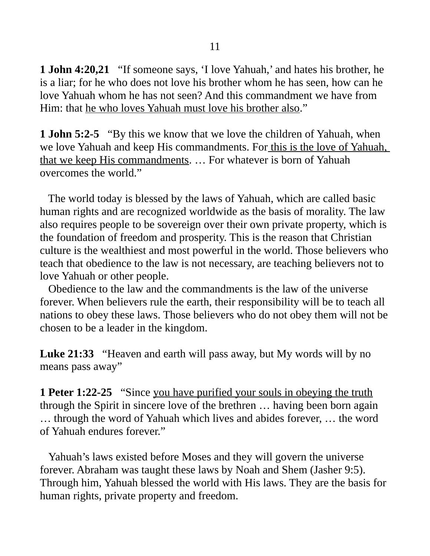**1 John 4:20,21** "If someone says, 'I love Yahuah,' and hates his brother, he is a liar; for he who does not love his brother whom he has seen, how can he love Yahuah whom he has not seen? And this commandment we have from Him: that he who loves Yahuah must love his brother also."

**1 John 5:2-5** "By this we know that we love the children of Yahuah, when we love Yahuah and keep His commandments. For this is the love of Yahuah, that we keep His commandments. … For whatever is born of Yahuah overcomes the world."

 The world today is blessed by the laws of Yahuah, which are called basic human rights and are recognized worldwide as the basis of morality. The law also requires people to be sovereign over their own private property, which is the foundation of freedom and prosperity. This is the reason that Christian culture is the wealthiest and most powerful in the world. Those believers who teach that obedience to the law is not necessary, are teaching believers not to love Yahuah or other people.

 Obedience to the law and the commandments is the law of the universe forever. When believers rule the earth, their responsibility will be to teach all nations to obey these laws. Those believers who do not obey them will not be chosen to be a leader in the kingdom.

**Luke 21:33** "Heaven and earth will pass away, but My words will by no means pass away"

**1 Peter 1:22-25** "Since you have purified your souls in obeying the truth through the Spirit in sincere love of the brethren … having been born again … through the word of Yahuah which lives and abides forever, … the word of Yahuah endures forever."

 Yahuah's laws existed before Moses and they will govern the universe forever. Abraham was taught these laws by Noah and Shem (Jasher 9:5). Through him, Yahuah blessed the world with His laws. They are the basis for human rights, private property and freedom.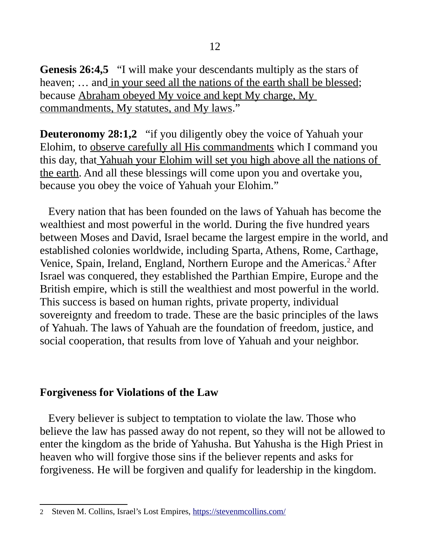**Genesis 26:4,5** "I will make your descendants multiply as the stars of heaven; ... and in your seed all the nations of the earth shall be blessed; because Abraham obeyed My voice and kept My charge, My commandments, My statutes, and My laws."

**Deuteronomy 28:1,2** "if you diligently obey the voice of Yahuah your Elohim, to observe carefully all His commandments which I command you this day, that Yahuah your Elohim will set you high above all the nations of the earth. And all these blessings will come upon you and overtake you, because you obey the voice of Yahuah your Elohim."

 Every nation that has been founded on the laws of Yahuah has become the wealthiest and most powerful in the world. During the five hundred years between Moses and David, Israel became the largest empire in the world, and established colonies worldwide, including Sparta, Athens, Rome, Carthage, Venice, Spain, Ireland, England, Northern Europe and the Americas.<sup>[2](#page-11-0)</sup> After Israel was conquered, they established the Parthian Empire, Europe and the British empire, which is still the wealthiest and most powerful in the world. This success is based on human rights, private property, individual sovereignty and freedom to trade. These are the basic principles of the laws of Yahuah. The laws of Yahuah are the foundation of freedom, justice, and social cooperation, that results from love of Yahuah and your neighbor.

## **Forgiveness for Violations of the Law**

 Every believer is subject to temptation to violate the law. Those who believe the law has passed away do not repent, so they will not be allowed to enter the kingdom as the bride of Yahusha. But Yahusha is the High Priest in heaven who will forgive those sins if the believer repents and asks for forgiveness. He will be forgiven and qualify for leadership in the kingdom.

<span id="page-11-0"></span><sup>2</sup> Steven M. Collins, Israel's Lost Empires, <https://stevenmcollins.com/>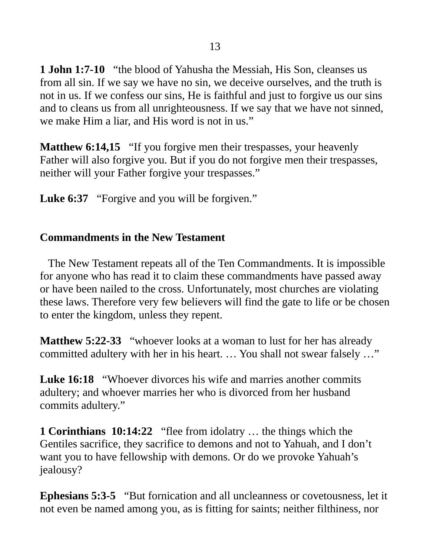**1 John 1:7-10** "the blood of Yahusha the Messiah, His Son, cleanses us from all sin. If we say we have no sin, we deceive ourselves, and the truth is not in us. If we confess our sins, He is faithful and just to forgive us our sins and to cleans us from all unrighteousness. If we say that we have not sinned, we make Him a liar, and His word is not in us."

**Matthew 6:14,15** "If you forgive men their trespasses, your heavenly Father will also forgive you. But if you do not forgive men their trespasses, neither will your Father forgive your trespasses."

Luke 6:37 "Forgive and you will be forgiven."

## **Commandments in the New Testament**

 The New Testament repeats all of the Ten Commandments. It is impossible for anyone who has read it to claim these commandments have passed away or have been nailed to the cross. Unfortunately, most churches are violating these laws. Therefore very few believers will find the gate to life or be chosen to enter the kingdom, unless they repent.

**Matthew 5:22-33** "whoever looks at a woman to lust for her has already committed adultery with her in his heart. … You shall not swear falsely …"

**Luke 16:18** "Whoever divorces his wife and marries another commits adultery; and whoever marries her who is divorced from her husband commits adultery."

**1 Corinthians 10:14:22** "flee from idolatry … the things which the Gentiles sacrifice, they sacrifice to demons and not to Yahuah, and I don't want you to have fellowship with demons. Or do we provoke Yahuah's jealousy?

**Ephesians 5:3-5** "But fornication and all uncleanness or covetousness, let it not even be named among you, as is fitting for saints; neither filthiness, nor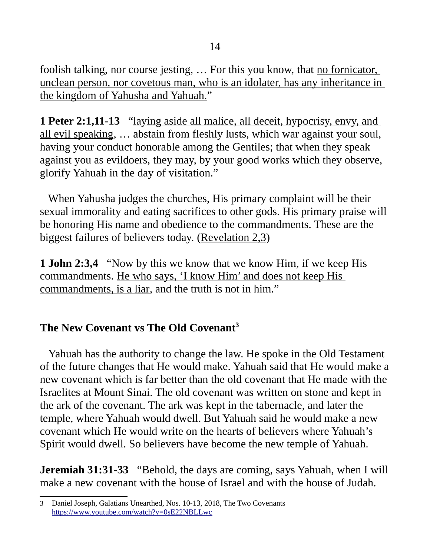foolish talking, nor course jesting, ... For this you know, that <u>no fornicator,</u> unclean person, nor covetous man, who is an idolater, has any inheritance in the kingdom of Yahusha and Yahuah."

**1 Peter 2:1,11-13** "laying aside all malice, all deceit, hypocrisy, envy, and all evil speaking, … abstain from fleshly lusts, which war against your soul, having your conduct honorable among the Gentiles; that when they speak against you as evildoers, they may, by your good works which they observe, glorify Yahuah in the day of visitation."

 When Yahusha judges the churches, His primary complaint will be their sexual immorality and eating sacrifices to other gods. His primary praise will be honoring His name and obedience to the commandments. These are the biggest failures of believers today. (Revelation 2,3)

**1 John 2:3,4** "Now by this we know that we know Him, if we keep His commandments. He who says, 'I know Him' and does not keep His commandments, is a liar, and the truth is not in him."

# **The New Covenant vs The Old Covenant[3](#page-13-0)**

Yahuah has the authority to change the law. He spoke in the Old Testament of the future changes that He would make. Yahuah said that He would make a new covenant which is far better than the old covenant that He made with the Israelites at Mount Sinai. The old covenant was written on stone and kept in the ark of the covenant. The ark was kept in the tabernacle, and later the temple, where Yahuah would dwell. But Yahuah said he would make a new covenant which He would write on the hearts of believers where Yahuah's Spirit would dwell. So believers have become the new temple of Yahuah.

**Jeremiah 31:31-33** "Behold, the days are coming, says Yahuah, when I will make a new covenant with the house of Israel and with the house of Judah.

<span id="page-13-0"></span><sup>3</sup> Daniel Joseph, Galatians Unearthed, Nos. 10-13, 2018, The Two Covenants <https://www.youtube.com/watch?v=0sE22NBLLwc>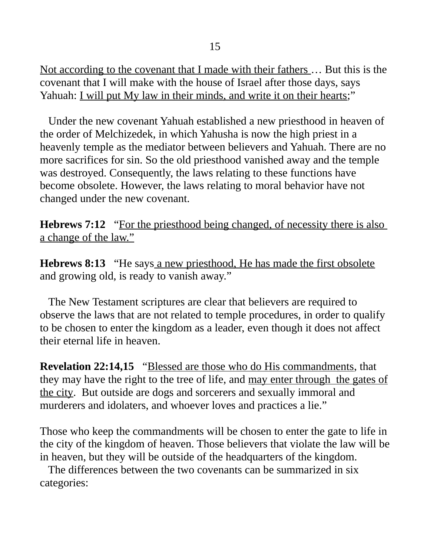Not according to the covenant that I made with their fathers … But this is the covenant that I will make with the house of Israel after those days, says Yahuah: <u>I will put My law in their minds, and write it on their hearts</u>;"

 Under the new covenant Yahuah established a new priesthood in heaven of the order of Melchizedek, in which Yahusha is now the high priest in a heavenly temple as the mediator between believers and Yahuah. There are no more sacrifices for sin. So the old priesthood vanished away and the temple was destroyed. Consequently, the laws relating to these functions have become obsolete. However, the laws relating to moral behavior have not changed under the new covenant.

**Hebrews 7:12** "For the priesthood being changed, of necessity there is also a change of the law."

**Hebrews 8:13** "He says a new priesthood, He has made the first obsolete and growing old, is ready to vanish away."

 The New Testament scriptures are clear that believers are required to observe the laws that are not related to temple procedures, in order to qualify to be chosen to enter the kingdom as a leader, even though it does not affect their eternal life in heaven.

**Revelation 22:14,15** "Blessed are those who do His commandments, that they may have the right to the tree of life, and may enter through the gates of the city. But outside are dogs and sorcerers and sexually immoral and murderers and idolaters, and whoever loves and practices a lie."

Those who keep the commandments will be chosen to enter the gate to life in the city of the kingdom of heaven. Those believers that violate the law will be in heaven, but they will be outside of the headquarters of the kingdom.

 The differences between the two covenants can be summarized in six categories: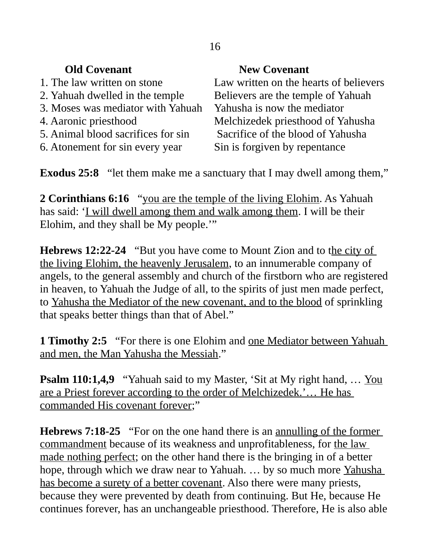# **Old Covenant New Covenant**

- 
- 
- 3. Moses was mediator with Yahuah Yahusha is now the mediator
- 
- 
- 6. Atonement for sin every year Sin is forgiven by repentance

1. The law written on stone Law written on the hearts of believers 2. Yahuah dwelled in the temple Believers are the temple of Yahuah 4. Aaronic priesthood Melchizedek priesthood of Yahusha 5. Animal blood sacrifices for sin Sacrifice of the blood of Yahusha

**Exodus 25:8** "let them make me a sanctuary that I may dwell among them,"

**2 Corinthians 6:16** "you are the temple of the living Elohim. As Yahuah has said: 'I will dwell among them and walk among them. I will be their Elohim, and they shall be My people.'"

**Hebrews 12:22-24** "But you have come to Mount Zion and to the city of the living Elohim, the heavenly Jerusalem, to an innumerable company of angels, to the general assembly and church of the firstborn who are registered in heaven, to Yahuah the Judge of all, to the spirits of just men made perfect, to Yahusha the Mediator of the new covenant, and to the blood of sprinkling that speaks better things than that of Abel."

**1 Timothy 2:5** "For there is one Elohim and <u>one Mediator between Yahuah</u> and men, the Man Yahusha the Messiah."

**Psalm 110:1,4,9** "Yahuah said to my Master, 'Sit at My right hand, ... You are a Priest forever according to the order of Melchizedek.'... He has commanded His covenant forever;"

**Hebrews 7:18-25** "For on the one hand there is an <u>annulling of the former</u> commandment because of its weakness and unprofitableness, for the law made nothing perfect; on the other hand there is the bringing in of a better hope, through which we draw near to Yahuah. ... by so much more Yahusha has become a surety of a better covenant. Also there were many priests, because they were prevented by death from continuing. But He, because He continues forever, has an unchangeable priesthood. Therefore, He is also able